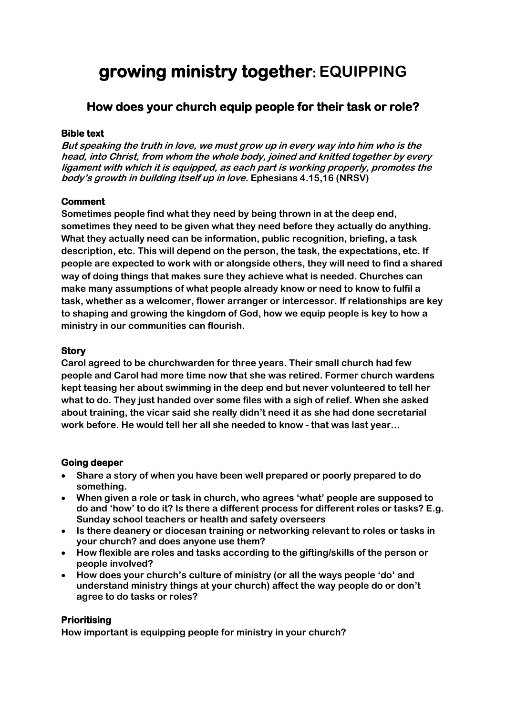# **growing ministry together: EQUIPPING**

# **How does your church equip people for their task or role?**

#### **Bible text**

**But speaking the truth in love, we must grow up in every way into him who is the head, into Christ, from whom the whole body, joined and knitted together by every ligament with which it is equipped, as each part is working properly, promotes the body's growth in building itself up in love. Ephesians 4.15,16 (NRSV)**

## **Comment**

**Sometimes people find what they need by being thrown in at the deep end, sometimes they need to be given what they need before they actually do anything. What they actually need can be information, public recognition, briefing, a task description, etc. This will depend on the person, the task, the expectations, etc. If people are expected to work with or alongside others, they will need to find a shared way of doing things that makes sure they achieve what is needed. Churches can make many assumptions of what people already know or need to know to fulfil a task, whether as a welcomer, flower arranger or intercessor. If relationships are key to shaping and growing the kingdom of God, how we equip people is key to how a ministry in our communities can flourish.**

#### **Story**

**Carol agreed to be churchwarden for three years. Their small church had few people and Carol had more time now that she was retired. Former church wardens kept teasing her about swimming in the deep end but never volunteered to tell her what to do. They just handed over some files with a sigh of relief. When she asked about training, the vicar said she really didn't need it as she had done secretarial work before. He would tell her all she needed to know - that was last year…**

#### **Going deeper**

- **Share a story of when you have been well prepared or poorly prepared to do something.**
- **When given a role or task in church, who agrees 'what' people are supposed to do and 'how' to do it? Is there a different process for different roles or tasks? E.g. Sunday school teachers or health and safety overseers**
- **Is there deanery or diocesan training or networking relevant to roles or tasks in your church? and does anyone use them?**
- **How flexible are roles and tasks according to the gifting/skills of the person or people involved?**
- **How does your church's culture of ministry (or all the ways people 'do' and understand ministry things at your church) affect the way people do or don't agree to do tasks or roles?**

## **Prioritising**

**How important is equipping people for ministry in your church?**